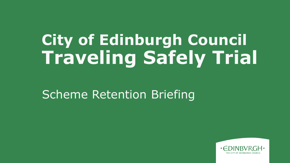# **City of Edinburgh Council Traveling Safely Trial**

Scheme Retention Briefing

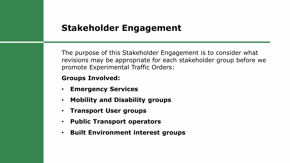## **Stakeholder Engagement**

The purpose of this Stakeholder Engagement is to consider what revisions may be appropriate for each stakeholder group before we promote Experimental Traffic Orders:

#### **Groups Involved:**

- **Emergency Services**
- **Mobility and Disability groups**
- **Transport User groups**
- **Public Transport operators**
- **Built Environment interest groups**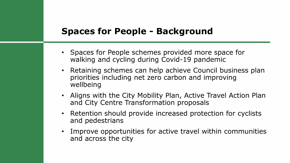## **Spaces for People - Background**

- Spaces for People schemes provided more space for walking and cycling during Covid-19 pandemic
- Retaining schemes can help achieve Council business plan priorities including net zero carbon and improving wellbeing
- Aligns with the City Mobility Plan, Active Travel Action Plan and City Centre Transformation proposals
- Retention should provide increased protection for cyclists and pedestrians
- Improve opportunities for active travel within communities and across the city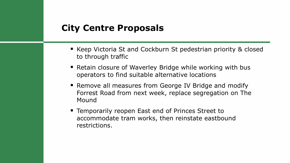### **City Centre Proposals**

- Keep Victoria St and Cockburn St pedestrian priority & closed to through traffic
- Retain closure of Waverley Bridge while working with bus operators to find suitable alternative locations
- Remove all measures from George IV Bridge and modify Forrest Road from next week, replace segregation on The Mound
- Temporarily reopen East end of Princes Street to accommodate tram works, then reinstate eastbound restrictions.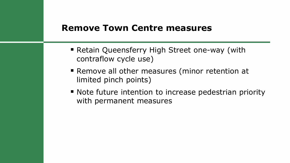### **Remove Town Centre measures**

- Retain Queensferry High Street one-way (with contraflow cycle use)
- Remove all other measures (minor retention at limited pinch points)
- Note future intention to increase pedestrian priority with permanent measures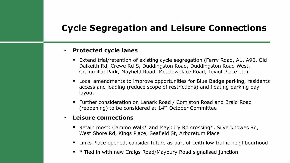## **Cycle Segregation and Leisure Connections**

#### • **Protected cycle lanes**

- Extend trial/retention of existing cycle segregation (Ferry Road, A1, A90, Old Dalkeith Rd, Crewe Rd S, Duddingston Road, Duddingston Road West, Craigmillar Park, Mayfield Road, Meadowplace Road, Teviot Place etc)
- Local amendments to improve opportunities for Blue Badge parking, residents access and loading (reduce scope of restrictions) and floating parking bay layout
- Further consideration on Lanark Road / Comiston Road and Braid Road (reopening) to be considered at 14th October Committee

#### • **Leisure connections**

- Retain most: Cammo Walk\* and Maybury Rd crossing\*, Silverknowes Rd, West Shore Rd, Kings Place, Seafield St, Arboretum Place
- Links Place opened, consider future as part of Leith low traffic neighbourhood
- \* Tied in with new Craigs Road/Maybury Road signalised junction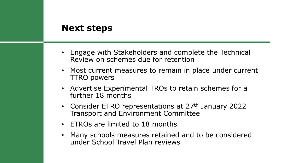### **Next steps**

- Engage with Stakeholders and complete the Technical Review on schemes due for retention
- Most current measures to remain in place under current TTRO powers
- Advertise Experimental TROs to retain schemes for a further 18 months
- Consider ETRO representations at 27<sup>th</sup> January 2022 Transport and Environment Committee
- ETROs are limited to 18 months
- Many schools measures retained and to be considered under School Travel Plan reviews